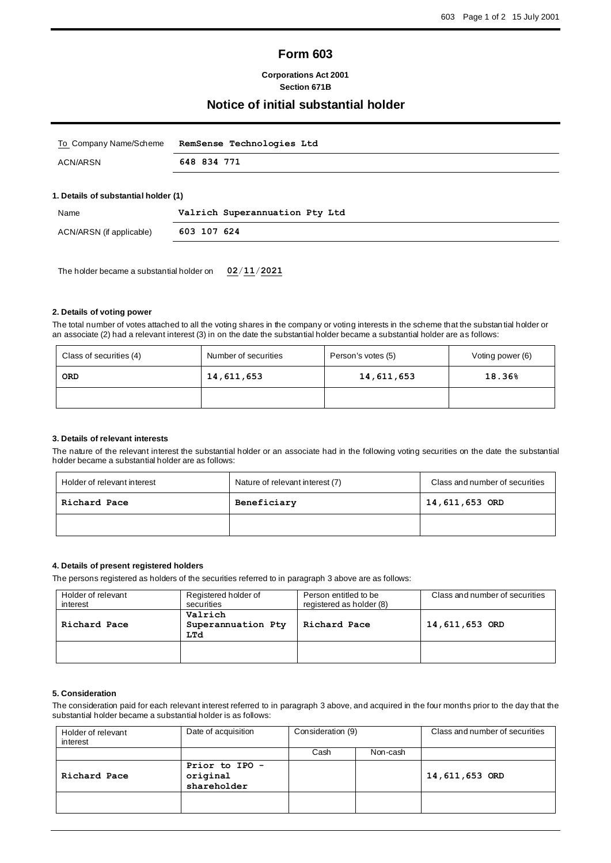# **Form 603**

## **Corporations Act 2001 Section 671B**

# **Notice of initial substantial holder**

|                                      | RemSense Technologies Ltd |
|--------------------------------------|---------------------------|
| 648 834 771<br>ACN/ARSN              |                           |
|                                      |                           |
| 1. Details of substantial holder (1) |                           |

| Name                     | Valrich Superannuation Pty Ltd |
|--------------------------|--------------------------------|
| ACN/ARSN (if applicable) | 603 107 624                    |
|                          |                                |

The holder became a substantial holder on **02**/**11**/**2021**

# **2. Details of voting power**

The total number of votes attached to all the voting shares in the company or voting interests in the scheme that the substan tial holder or an associate (2) had a relevant interest (3) in on the date the substantial holder became a substantial holder are as follows:

| Class of securities (4) | Number of securities | Person's votes (5) | Voting power (6) |
|-------------------------|----------------------|--------------------|------------------|
| ORD                     | 14,611,653           | 14,611,653         | 18.36%           |
|                         |                      |                    |                  |

## **3. Details of relevant interests**

The nature of the relevant interest the substantial holder or an associate had in the following voting securities on the date the substantial holder became a substantial holder are as follows:

| Holder of relevant interest | Nature of relevant interest (7) | Class and number of securities |
|-----------------------------|---------------------------------|--------------------------------|
| Richard Pace                | Beneficiary                     | 14,611,653 ORD                 |
|                             |                                 |                                |

#### **4. Details of present registered holders**

The persons registered as holders of the securities referred to in paragraph 3 above are as follows:

| Holder of relevant<br>interest | Registered holder of<br>securities   | Person entitled to be<br>registered as holder (8) | Class and number of securities |
|--------------------------------|--------------------------------------|---------------------------------------------------|--------------------------------|
| Richard Pace                   | Valrich<br>Superannuation Pty<br>LTd | Richard Pace                                      | 14,611,653 ORD                 |
|                                |                                      |                                                   |                                |

## **5. Consideration**

The consideration paid for each relevant interest referred to in paragraph 3 above, and acquired in the four months prior to the day that the substantial holder became a substantial holder is as follows:

| Holder of relevant<br>interest | Date of acquisition                       | Consideration (9) |          | Class and number of securities |
|--------------------------------|-------------------------------------------|-------------------|----------|--------------------------------|
|                                |                                           | Cash              | Non-cash |                                |
| Richard Pace                   | Prior to IPO -<br>original<br>shareholder |                   |          | 14,611,653 ORD                 |
|                                |                                           |                   |          |                                |